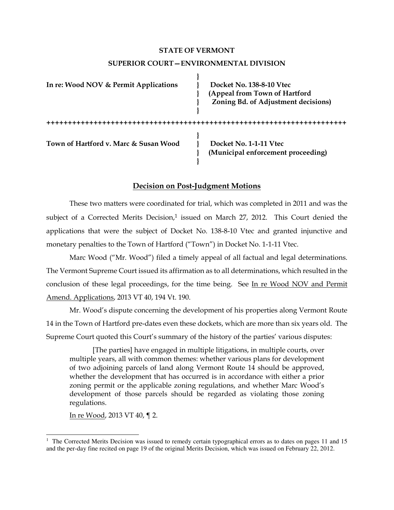# **STATE OF VERMONT SUPERIOR COURT—ENVIRONMENTAL DIVISION**

| In re: Wood NOV & Permit Applications | Docket No. 138-8-10 Vtec<br>(Appeal from Town of Hartford<br>Zoning Bd. of Adjustment decisions) |
|---------------------------------------|--------------------------------------------------------------------------------------------------|
|                                       |                                                                                                  |
| Town of Hartford v. Marc & Susan Wood | Docket No. 1-1-11 Vtec<br>(Municipal enforcement proceeding)                                     |

# **Decision on Post-Judgment Motions**

These two matters were coordinated for trial, which was completed in 2011 and was the subject of a Corrected Merits Decision, $1$  issued on March 27, 2012. This Court denied the applications that were the subject of Docket No. 138-8-10 Vtec and granted injunctive and monetary penalties to the Town of Hartford ("Town") in Docket No. 1-1-11 Vtec.

Marc Wood ("Mr. Wood") filed a timely appeal of all factual and legal determinations. The Vermont Supreme Court issued its affirmation as to all determinations, which resulted in the conclusion of these legal proceedings, for the time being. See In re Wood NOV and Permit Amend. Applications, 2013 VT 40, 194 Vt. 190.

Mr. Wood's dispute concerning the development of his properties along Vermont Route 14 in the Town of Hartford pre-dates even these dockets, which are more than six years old. The Supreme Court quoted this Court's summary of the history of the parties' various disputes:

[The parties] have engaged in multiple litigations, in multiple courts, over multiple years, all with common themes: whether various plans for development of two adjoining parcels of land along Vermont Route 14 should be approved, whether the development that has occurred is in accordance with either a prior zoning permit or the applicable zoning regulations, and whether Marc Wood's development of those parcels should be regarded as violating those zoning regulations.

In re Wood, 2013 VT 40, ¶ 2.

<sup>&</sup>lt;sup>1</sup> The Corrected Merits Decision was issued to remedy certain typographical errors as to dates on pages 11 and 15 and the per-day fine recited on page 19 of the original Merits Decision, which was issued on February 22, 2012.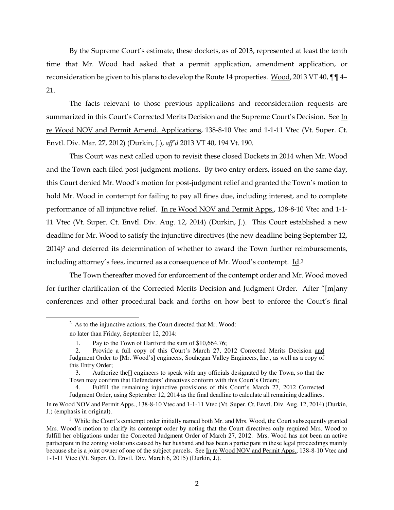By the Supreme Court's estimate, these dockets, as of 2013, represented at least the tenth time that Mr. Wood had asked that a permit application, amendment application, or reconsideration be given to his plans to develop the Route 14 properties. Wood, 2013 VT 40, ¶¶ 4– 21.

The facts relevant to those previous applications and reconsideration requests are summarized in this Court's Corrected Merits Decision and the Supreme Court's Decision. See In re Wood NOV and Permit Amend. Applications, 138-8-10 Vtec and 1-1-11 Vtec (Vt. Super. Ct. Envtl. Div. Mar. 27, 2012) (Durkin, J.), *aff'd* 2013 VT 40, 194 Vt. 190.

This Court was next called upon to revisit these closed Dockets in 2014 when Mr. Wood and the Town each filed post-judgment motions. By two entry orders, issued on the same day, this Court denied Mr. Wood's motion for post-judgment relief and granted the Town's motion to hold Mr. Wood in contempt for failing to pay all fines due, including interest, and to complete performance of all injunctive relief. In re Wood NOV and Permit Apps., 138-8-10 Vtec and 1-1- 11 Vtec (Vt. Super. Ct. Envtl. Div. Aug. 12, 2014) (Durkin, J.). This Court established a new deadline for Mr. Wood to satisfy the injunctive directives (the new deadline being September 12, 2014)<sup>2</sup> and deferred its determination of whether to award the Town further reimbursements, including attorney's fees, incurred as a consequence of Mr. Wood's contempt. Id.<sup>3</sup>

The Town thereafter moved for enforcement of the contempt order and Mr. Wood moved for further clarification of the Corrected Merits Decision and Judgment Order. After "[m]any conferences and other procedural back and forths on how best to enforce the Court's final

-

 $2$  As to the injunctive actions, the Court directed that Mr. Wood:

no later than Friday, September 12, 2014:

<sup>1.</sup> Pay to the Town of Hartford the sum of \$10,664.76;

<sup>2.</sup> Provide a full copy of this Court's March 27, 2012 Corrected Merits Decision and Judgment Order to [Mr. Wood's] engineers, Souhegan Valley Engineers, Inc., as well as a copy of this Entry Order;

<sup>3.</sup> Authorize the[] engineers to speak with any officials designated by the Town, so that the Town may confirm that Defendants' directives conform with this Court's Orders;

<sup>4.</sup> Fulfill the remaining injunctive provisions of this Court's March 27, 2012 Corrected Judgment Order, using September 12, 2014 as the final deadline to calculate all remaining deadlines.

In re Wood NOV and Permit Apps., 138-8-10 Vtec and 1-1-11 Vtec (Vt. Super. Ct. Envtl. Div. Aug. 12, 2014) (Durkin, J.) (emphasis in original).

<sup>&</sup>lt;sup>3</sup> While the Court's contempt order initially named both Mr. and Mrs. Wood, the Court subsequently granted Mrs. Wood's motion to clarify its contempt order by noting that the Court directives only required Mrs. Wood to fulfill her obligations under the Corrected Judgment Order of March 27, 2012. Mrs. Wood has not been an active participant in the zoning violations caused by her husband and has been a participant in these legal proceedings mainly because she is a joint owner of one of the subject parcels. See In re Wood NOV and Permit Apps., 138-8-10 Vtec and 1-1-11 Vtec (Vt. Super. Ct. Envtl. Div. March 6, 2015) (Durkin, J.).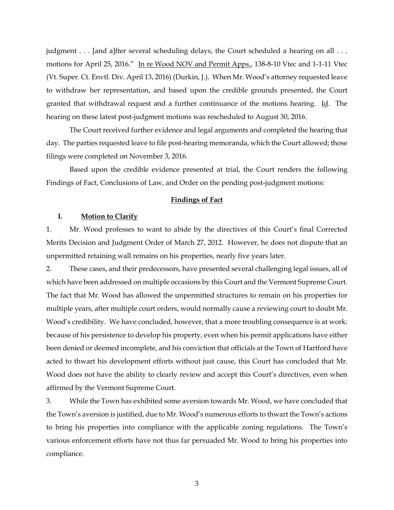judgment . . . [and a]fter several scheduling delays, the Court scheduled a hearing on all . . . motions for April 25, 2016." In re Wood NOV and Permit Apps., 138-8-10 Vtec and 1-1-11 Vtec (Vt. Super. Ct. Envtl. Div. April 13, 2016) (Durkin, J.). When Mr. Wood's attorney requested leave to withdraw her representation, and based upon the credible grounds presented, the Court granted that withdrawal request and a further continuance of the motions hearing. Id. The hearing on these latest post-judgment motions was rescheduled to August 30, 2016.

The Court received further evidence and legal arguments and completed the hearing that day. The parties requested leave to file post-hearing memoranda, which the Court allowed; those filings were completed on November 3, 2016.

Based upon the credible evidence presented at trial, the Court renders the following Findings of Fact, Conclusions of Law, and Order on the pending post-judgment motions:

#### **Findings of Fact**

## **I. Motion to Clarify**

1. Mr. Wood professes to want to abide by the directives of this Court's final Corrected Merits Decision and Judgment Order of March 27, 2012. However, he does not dispute that an unpermitted retaining wall remains on his properties, nearly five years later.

2. These cases, and their predecessors, have presented several challenging legal issues, all of which have been addressed on multiple occasions by this Court and the Vermont Supreme Court. The fact that Mr. Wood has allowed the unpermitted structures to remain on his properties for multiple years, after multiple court orders, would normally cause a reviewing court to doubt Mr. Wood's credibility. We have concluded, however, that a more troubling consequence is at work: because of his persistence to develop his property, even when his permit applications have either been denied or deemed incomplete, and his conviction that officials at the Town of Hartford have acted to thwart his development efforts without just cause, this Court has concluded that Mr. Wood does not have the ability to clearly review and accept this Court's directives, even when affirmed by the Vermont Supreme Court.

3. While the Town has exhibited some aversion towards Mr. Wood, we have concluded that the Town's aversion is justified, due to Mr. Wood's numerous efforts to thwart the Town's actions to bring his properties into compliance with the applicable zoning regulations. The Town's various enforcement efforts have not thus far persuaded Mr. Wood to bring his properties into compliance.

3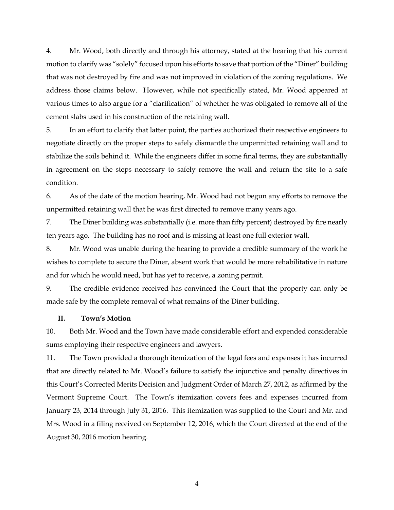4. Mr. Wood, both directly and through his attorney, stated at the hearing that his current motion to clarify was "solely" focused upon his efforts to save that portion of the "Diner" building that was not destroyed by fire and was not improved in violation of the zoning regulations. We address those claims below. However, while not specifically stated, Mr. Wood appeared at various times to also argue for a "clarification" of whether he was obligated to remove all of the cement slabs used in his construction of the retaining wall.

5. In an effort to clarify that latter point, the parties authorized their respective engineers to negotiate directly on the proper steps to safely dismantle the unpermitted retaining wall and to stabilize the soils behind it. While the engineers differ in some final terms, they are substantially in agreement on the steps necessary to safely remove the wall and return the site to a safe condition.

6. As of the date of the motion hearing, Mr. Wood had not begun any efforts to remove the unpermitted retaining wall that he was first directed to remove many years ago.

7. The Diner building was substantially (i.e. more than fifty percent) destroyed by fire nearly ten years ago. The building has no roof and is missing at least one full exterior wall.

8. Mr. Wood was unable during the hearing to provide a credible summary of the work he wishes to complete to secure the Diner, absent work that would be more rehabilitative in nature and for which he would need, but has yet to receive, a zoning permit.

9. The credible evidence received has convinced the Court that the property can only be made safe by the complete removal of what remains of the Diner building.

## **II. Town's Motion**

10. Both Mr. Wood and the Town have made considerable effort and expended considerable sums employing their respective engineers and lawyers.

11. The Town provided a thorough itemization of the legal fees and expenses it has incurred that are directly related to Mr. Wood's failure to satisfy the injunctive and penalty directives in this Court's Corrected Merits Decision and Judgment Order of March 27, 2012, as affirmed by the Vermont Supreme Court. The Town's itemization covers fees and expenses incurred from January 23, 2014 through July 31, 2016. This itemization was supplied to the Court and Mr. and Mrs. Wood in a filing received on September 12, 2016, which the Court directed at the end of the August 30, 2016 motion hearing.

4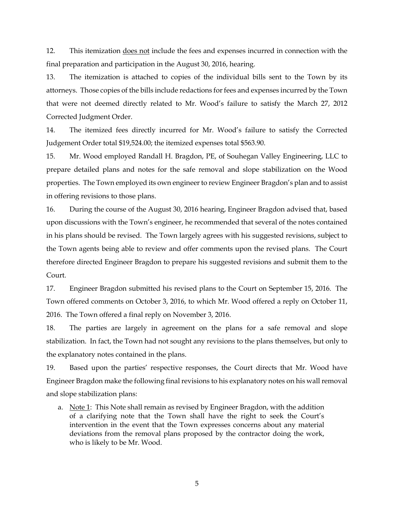12. This itemization *does not* include the fees and expenses incurred in connection with the final preparation and participation in the August 30, 2016, hearing.

13. The itemization is attached to copies of the individual bills sent to the Town by its attorneys. Those copies of the bills include redactions for fees and expenses incurred by the Town that were not deemed directly related to Mr. Wood's failure to satisfy the March 27, 2012 Corrected Judgment Order.

14. The itemized fees directly incurred for Mr. Wood's failure to satisfy the Corrected Judgement Order total \$19,524.00; the itemized expenses total \$563.90.

15. Mr. Wood employed Randall H. Bragdon, PE, of Souhegan Valley Engineering, LLC to prepare detailed plans and notes for the safe removal and slope stabilization on the Wood properties. The Town employed its own engineer to review Engineer Bragdon's plan and to assist in offering revisions to those plans.

16. During the course of the August 30, 2016 hearing, Engineer Bragdon advised that, based upon discussions with the Town's engineer, he recommended that several of the notes contained in his plans should be revised. The Town largely agrees with his suggested revisions, subject to the Town agents being able to review and offer comments upon the revised plans. The Court therefore directed Engineer Bragdon to prepare his suggested revisions and submit them to the Court.

17. Engineer Bragdon submitted his revised plans to the Court on September 15, 2016. The Town offered comments on October 3, 2016, to which Mr. Wood offered a reply on October 11, 2016. The Town offered a final reply on November 3, 2016.

18. The parties are largely in agreement on the plans for a safe removal and slope stabilization. In fact, the Town had not sought any revisions to the plans themselves, but only to the explanatory notes contained in the plans.

19. Based upon the parties' respective responses, the Court directs that Mr. Wood have Engineer Bragdon make the following final revisions to his explanatory notes on his wall removal and slope stabilization plans:

a. Note 1: This Note shall remain as revised by Engineer Bragdon, with the addition of a clarifying note that the Town shall have the right to seek the Court's intervention in the event that the Town expresses concerns about any material deviations from the removal plans proposed by the contractor doing the work, who is likely to be Mr. Wood.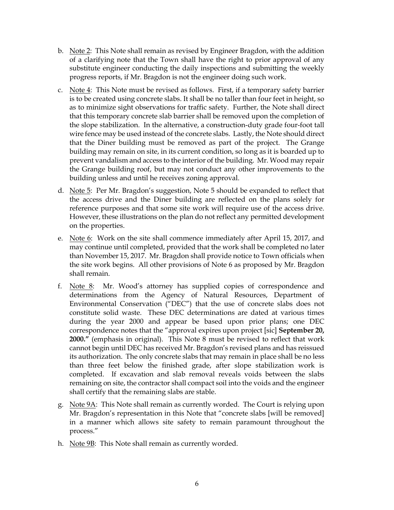- b. Note 2: This Note shall remain as revised by Engineer Bragdon, with the addition of a clarifying note that the Town shall have the right to prior approval of any substitute engineer conducting the daily inspections and submitting the weekly progress reports, if Mr. Bragdon is not the engineer doing such work.
- c. Note 4: This Note must be revised as follows. First, if a temporary safety barrier is to be created using concrete slabs. It shall be no taller than four feet in height, so as to minimize sight observations for traffic safety. Further, the Note shall direct that this temporary concrete slab barrier shall be removed upon the completion of the slope stabilization. In the alternative, a construction-duty grade four-foot tall wire fence may be used instead of the concrete slabs. Lastly, the Note should direct that the Diner building must be removed as part of the project. The Grange building may remain on site, in its current condition, so long as it is boarded up to prevent vandalism and access to the interior of the building. Mr. Wood may repair the Grange building roof, but may not conduct any other improvements to the building unless and until he receives zoning approval.
- d. Note 5: Per Mr. Bragdon's suggestion, Note 5 should be expanded to reflect that the access drive and the Diner building are reflected on the plans solely for reference purposes and that some site work will require use of the access drive. However, these illustrations on the plan do not reflect any permitted development on the properties.
- e. Note 6: Work on the site shall commence immediately after April 15, 2017, and may continue until completed, provided that the work shall be completed no later than November 15, 2017. Mr. Bragdon shall provide notice to Town officials when the site work begins. All other provisions of Note 6 as proposed by Mr. Bragdon shall remain.
- f. Note 8: Mr. Wood's attorney has supplied copies of correspondence and determinations from the Agency of Natural Resources, Department of Environmental Conservation ("DEC") that the use of concrete slabs does not constitute solid waste. These DEC determinations are dated at various times during the year 2000 and appear be based upon prior plans; one DEC correspondence notes that the "approval expires upon project [sic] **September 20, 2000."** (emphasis in original). This Note 8 must be revised to reflect that work cannot begin until DEC has received Mr. Bragdon's revised plans and has reissued its authorization. The only concrete slabs that may remain in place shall be no less than three feet below the finished grade, after slope stabilization work is completed. If excavation and slab removal reveals voids between the slabs remaining on site, the contractor shall compact soil into the voids and the engineer shall certify that the remaining slabs are stable.
- g. Note 9A: This Note shall remain as currently worded. The Court is relying upon Mr. Bragdon's representation in this Note that "concrete slabs [will be removed] in a manner which allows site safety to remain paramount throughout the process."
- h. Note 9B: This Note shall remain as currently worded.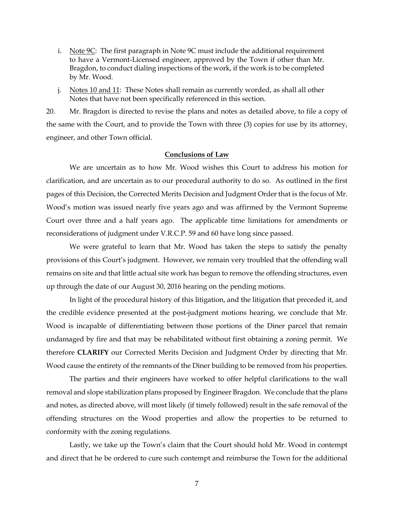- i. Note 9C: The first paragraph in Note 9C must include the additional requirement to have a Vermont-Licensed engineer, approved by the Town if other than Mr. Bragdon, to conduct dialing inspections of the work, if the work is to be completed by Mr. Wood.
- j. Notes 10 and 11: These Notes shall remain as currently worded, as shall all other Notes that have not been specifically referenced in this section.

20. Mr. Bragdon is directed to revise the plans and notes as detailed above, to file a copy of the same with the Court, and to provide the Town with three (3) copies for use by its attorney, engineer, and other Town official.

### **Conclusions of Law**

We are uncertain as to how Mr. Wood wishes this Court to address his motion for clarification, and are uncertain as to our procedural authority to do so. As outlined in the first pages of this Decision, the Corrected Merits Decision and Judgment Order that is the focus of Mr. Wood's motion was issued nearly five years ago and was affirmed by the Vermont Supreme Court over three and a half years ago. The applicable time limitations for amendments or reconsiderations of judgment under V.R.C.P. 59 and 60 have long since passed.

We were grateful to learn that Mr. Wood has taken the steps to satisfy the penalty provisions of this Court's judgment. However, we remain very troubled that the offending wall remains on site and that little actual site work has begun to remove the offending structures, even up through the date of our August 30, 2016 hearing on the pending motions.

In light of the procedural history of this litigation, and the litigation that preceded it, and the credible evidence presented at the post-judgment motions hearing, we conclude that Mr. Wood is incapable of differentiating between those portions of the Diner parcel that remain undamaged by fire and that may be rehabilitated without first obtaining a zoning permit. We therefore **CLARIFY** our Corrected Merits Decision and Judgment Order by directing that Mr. Wood cause the entirety of the remnants of the Diner building to be removed from his properties.

The parties and their engineers have worked to offer helpful clarifications to the wall removal and slope stabilization plans proposed by Engineer Bragdon. We conclude that the plans and notes, as directed above, will most likely (if timely followed) result in the safe removal of the offending structures on the Wood properties and allow the properties to be returned to conformity with the zoning regulations.

Lastly, we take up the Town's claim that the Court should hold Mr. Wood in contempt and direct that he be ordered to cure such contempt and reimburse the Town for the additional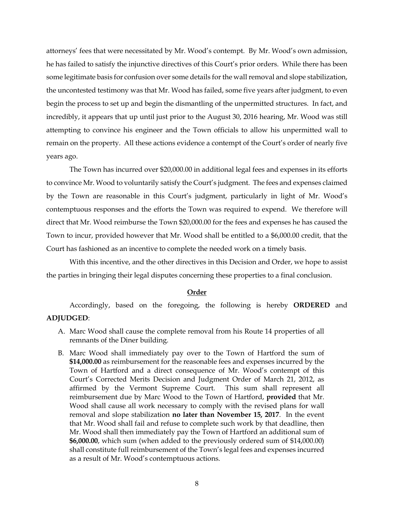attorneys' fees that were necessitated by Mr. Wood's contempt. By Mr. Wood's own admission, he has failed to satisfy the injunctive directives of this Court's prior orders. While there has been some legitimate basis for confusion over some details for the wall removal and slope stabilization, the uncontested testimony was that Mr. Wood has failed, some five years after judgment, to even begin the process to set up and begin the dismantling of the unpermitted structures. In fact, and incredibly, it appears that up until just prior to the August 30, 2016 hearing, Mr. Wood was still attempting to convince his engineer and the Town officials to allow his unpermitted wall to remain on the property. All these actions evidence a contempt of the Court's order of nearly five years ago.

The Town has incurred over \$20,000.00 in additional legal fees and expenses in its efforts to convince Mr. Wood to voluntarily satisfy the Court's judgment. The fees and expenses claimed by the Town are reasonable in this Court's judgment, particularly in light of Mr. Wood's contemptuous responses and the efforts the Town was required to expend. We therefore will direct that Mr. Wood reimburse the Town \$20,000.00 for the fees and expenses he has caused the Town to incur, provided however that Mr. Wood shall be entitled to a \$6,000.00 credit, that the Court has fashioned as an incentive to complete the needed work on a timely basis.

With this incentive, and the other directives in this Decision and Order, we hope to assist the parties in bringing their legal disputes concerning these properties to a final conclusion.

#### **Order**

Accordingly, based on the foregoing, the following is hereby **ORDERED** and

## **ADJUDGED**:

- A. Marc Wood shall cause the complete removal from his Route 14 properties of all remnants of the Diner building.
- B. Marc Wood shall immediately pay over to the Town of Hartford the sum of **\$14,000.00** as reimbursement for the reasonable fees and expenses incurred by the Town of Hartford and a direct consequence of Mr. Wood's contempt of this Court's Corrected Merits Decision and Judgment Order of March 21, 2012, as affirmed by the Vermont Supreme Court. This sum shall represent all reimbursement due by Marc Wood to the Town of Hartford, **provided** that Mr. Wood shall cause all work necessary to comply with the revised plans for wall removal and slope stabilization **no later than November 15, 2017**. In the event that Mr. Wood shall fail and refuse to complete such work by that deadline, then Mr. Wood shall then immediately pay the Town of Hartford an additional sum of **\$6,000.00**, which sum (when added to the previously ordered sum of \$14,000.00) shall constitute full reimbursement of the Town's legal fees and expenses incurred as a result of Mr. Wood's contemptuous actions.